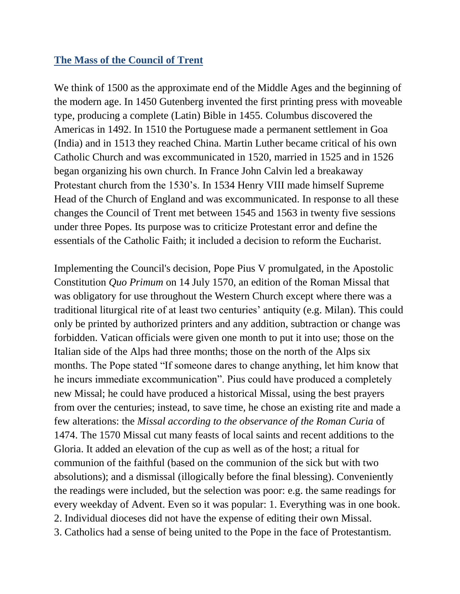## **The Mass of the Council of Trent**

We think of 1500 as the approximate end of the Middle Ages and the beginning of the modern age. In 1450 Gutenberg invented the first printing press with moveable type, producing a complete (Latin) Bible in 1455. Columbus discovered the Americas in 1492. In 1510 the Portuguese made a permanent settlement in Goa (India) and in 1513 they reached China. Martin Luther became critical of his own Catholic Church and was excommunicated in 1520, married in 1525 and in 1526 began organizing his own church. In France John Calvin led a breakaway Protestant church from the 1530's. In 1534 Henry VIII made himself Supreme Head of the Church of England and was excommunicated. In response to all these changes the Council of Trent met between 1545 and 1563 in twenty five sessions under three Popes. Its purpose was to criticize Protestant error and define the essentials of the Catholic Faith; it included a decision to reform the Eucharist.

Implementing the Council's decision, [Pope Pius V](http://en.wikipedia.org/wiki/Pope_Pius_V) promulgated, in the Apostolic Constitution *[Quo Primum](http://en.wikipedia.org/wiki/Quo_Primum)* on 14 July 1570, an edition of the Roman Missal that was obligatory for use throughout the [Western](http://en.wikipedia.org/wiki/Latin_Rite) Church except where there was a traditional liturgical rite of at least two centuries' antiquity (e.g. Milan). This could only be printed by authorized printers and any addition, subtraction or change was forbidden. Vatican officials were given one month to put it into use; those on the Italian side of the Alps had three months; those on the north of the Alps six months. The Pope stated "If someone dares to change anything, let him know that he incurs immediate excommunication". Pius could have produced a completely new Missal; he could have produced a historical Missal, using the best prayers from over the centuries; instead, to save time, he chose an existing rite and made a few alterations: the *Missal according to the observance of the Roman Curia* of 1474. The 1570 Missal cut many feasts of local saints and recent additions to the Gloria. It added an elevation of the cup as well as of the host; a ritual for communion of the faithful (based on the communion of the sick but with two absolutions); and a dismissal (illogically before the final blessing). Conveniently the readings were included, but the selection was poor: e.g. the same readings for every weekday of Advent. Even so it was popular: 1. Everything was in one book. 2. Individual dioceses did not have the expense of editing their own Missal. 3. Catholics had a sense of being united to the Pope in the face of Protestantism.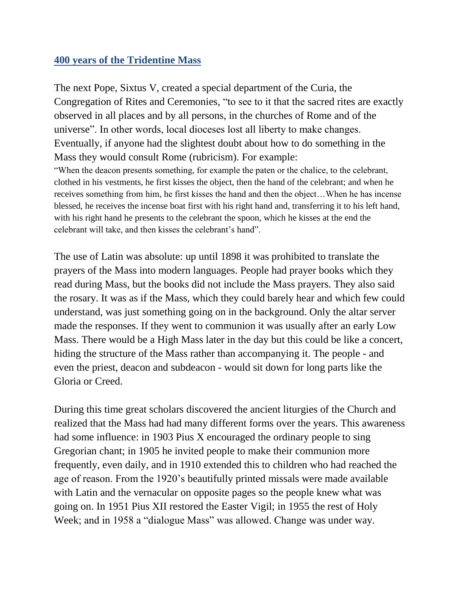## **400 years of the Tridentine Mass**

The next Pope, Sixtus V, created a special department of the Curia, the Congregation of Rites and Ceremonies, "to see to it that the sacred rites are exactly observed in all places and by all persons, in the churches of Rome and of the universe". In other words, local dioceses lost all liberty to make changes. Eventually, if anyone had the slightest doubt about how to do something in the Mass they would consult Rome (rubricism). For example: "When the deacon presents something, for example the paten or the chalice, to the celebrant, clothed in his vestments, he first kisses the object, then the hand of the celebrant; and when he receives something from him, he first kisses the hand and then the object…When he has incense blessed, he receives the incense boat first with his right hand and, transferring it to his left hand, with his right hand he presents to the celebrant the spoon, which he kisses at the end the celebrant will take, and then kisses the celebrant's hand".

The use of Latin was absolute: up until 1898 it was prohibited to translate the prayers of the Mass into modern languages. People had prayer books which they read during Mass, but the books did not include the Mass prayers. They also said the rosary. It was as if the Mass, which they could barely hear and which few could understand, was just something going on in the background. Only the altar server made the responses. If they went to communion it was usually after an early Low Mass. There would be a High Mass later in the day but this could be like a concert, hiding the structure of the Mass rather than accompanying it. The people - and even the priest, deacon and subdeacon - would sit down for long parts like the Gloria or Creed.

During this time great scholars discovered the ancient liturgies of the Church and realized that the Mass had had many different forms over the years. This awareness had some influence: in 1903 Pius X encouraged the ordinary people to sing Gregorian chant; in 1905 he invited people to make their communion more frequently, even daily, and in 1910 extended this to children who had reached the age of reason. From the 1920's beautifully printed missals were made available with Latin and the vernacular on opposite pages so the people knew what was going on. In 1951 Pius XII restored the Easter Vigil; in 1955 the rest of Holy Week; and in 1958 a "dialogue Mass" was allowed. Change was under way.